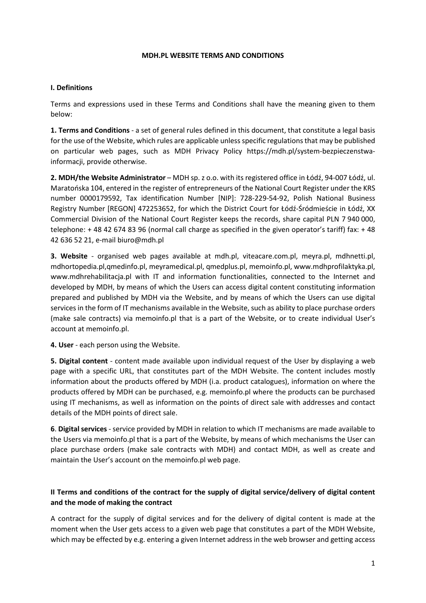### **MDH.PL WEBSITE TERMS AND CONDITIONS**

### **I. Definitions**

Terms and expressions used in these Terms and Conditions shall have the meaning given to them below:

**1. Terms and Conditions** - a set of general rules defined in this document, that constitute a legal basis for the use of the Website, which rules are applicable unless specific regulations that may be published on particular web pages, such as MDH Privacy Policy https://mdh.pl/system-bezpieczenstwainformacji, provide otherwise.

**2. MDH/the Website Administrator** – MDH sp. z o.o. with its registered office in Łódź, 94-007 Łódź, ul. Maratońska 104, entered in the register of entrepreneurs of the National Court Register under the KRS number 0000179592, Tax identification Number [NIP]: 728-229-54-92, Polish National Business Registry Number [REGON] 472253652, for which the District Court for Łódź-Śródmieście in Łódź, XX Commercial Division of the National Court Register keeps the records, share capital PLN 7 940 000, telephone: + 48 42 674 83 96 (normal call charge as specified in the given operator's tariff) fax: + 48 42 636 52 21, e-mail biuro@mdh.pl

**3. Website** - organised web pages available at mdh.pl, viteacare.com.pl, meyra.pl, mdhnetti.pl, mdhortopedia.pl,qmedinfo.pl, meyramedical.pl, qmedplus.pl, memoinfo.pl, www.mdhprofilaktyka.pl, www.mdhrehabilitacja.pl with IT and information functionalities, connected to the Internet and developed by MDH, by means of which the Users can access digital content constituting information prepared and published by MDH via the Website, and by means of which the Users can use digital services in the form of IT mechanisms available in the Website, such as ability to place purchase orders (make sale contracts) via memoinfo.pl that is a part of the Website, or to create individual User's account at memoinfo.pl.

**4. User** - each person using the Website.

**5. Digital content** - content made available upon individual request of the User by displaying a web page with a specific URL, that constitutes part of the MDH Website. The content includes mostly information about the products offered by MDH (i.a. product catalogues), information on where the products offered by MDH can be purchased, e.g. memoinfo.pl where the products can be purchased using IT mechanisms, as well as information on the points of direct sale with addresses and contact details of the MDH points of direct sale.

**6**. **Digital services** - service provided by MDH in relation to which IT mechanisms are made available to the Users via memoinfo.pl that is a part of the Website, by means of which mechanisms the User can place purchase orders (make sale contracts with MDH) and contact MDH, as well as create and maintain the User's account on the memoinfo.pl web page.

# **II Terms and conditions of the contract for the supply of digital service/delivery of digital content and the mode of making the contract**

A contract for the supply of digital services and for the delivery of digital content is made at the moment when the User gets access to a given web page that constitutes a part of the MDH Website, which may be effected by e.g. entering a given Internet address in the web browser and getting access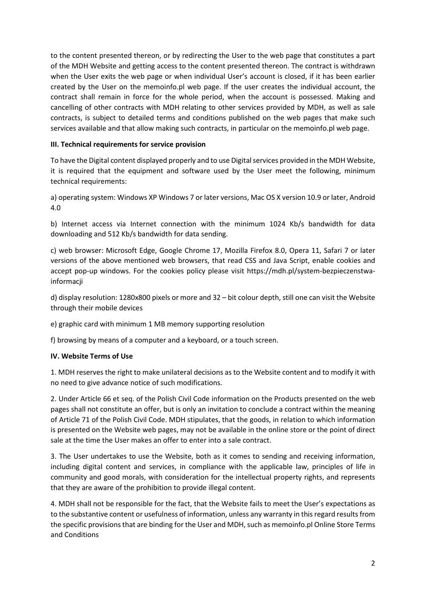to the content presented thereon, or by redirecting the User to the web page that constitutes a part of the MDH Website and getting access to the content presented thereon. The contract is withdrawn when the User exits the web page or when individual User's account is closed, if it has been earlier created by the User on the memoinfo.pl web page. If the user creates the individual account, the contract shall remain in force for the whole period, when the account is possessed. Making and cancelling of other contracts with MDH relating to other services provided by MDH, as well as sale contracts, is subject to detailed terms and conditions published on the web pages that make such services available and that allow making such contracts, in particular on the memoinfo.pl web page.

## **III. Technical requirements for service provision**

To have the Digital content displayed properly and to use Digital services provided in the MDH Website, it is required that the equipment and software used by the User meet the following, minimum technical requirements:

a) operating system: Windows XP Windows 7 or later versions, Mac OS X version 10.9 or later, Android 4.0

b) Internet access via Internet connection with the minimum 1024 Kb/s bandwidth for data downloading and 512 Kb/s bandwidth for data sending.

c) web browser: Microsoft Edge, Google Chrome 17, Mozilla Firefox 8.0, Opera 11, Safari 7 or later versions of the above mentioned web browsers, that read CSS and Java Script, enable cookies and accept pop-up windows. For the cookies policy please visit https://mdh.pl/system-bezpieczenstwainformacji

d) display resolution: 1280x800 pixels or more and 32 – bit colour depth, still one can visit the Website through their mobile devices

e) graphic card with minimum 1 MB memory supporting resolution

f) browsing by means of a computer and a keyboard, or a touch screen.

## **IV. Website Terms of Use**

1. MDH reserves the right to make unilateral decisions as to the Website content and to modify it with no need to give advance notice of such modifications.

2. Under Article 66 et seq. of the Polish Civil Code information on the Products presented on the web pages shall not constitute an offer, but is only an invitation to conclude a contract within the meaning of Article 71 of the Polish Civil Code. MDH stipulates, that the goods, in relation to which information is presented on the Website web pages, may not be available in the online store or the point of direct sale at the time the User makes an offer to enter into a sale contract.

3. The User undertakes to use the Website, both as it comes to sending and receiving information, including digital content and services, in compliance with the applicable law, principles of life in community and good morals, with consideration for the intellectual property rights, and represents that they are aware of the prohibition to provide illegal content.

4. MDH shall not be responsible for the fact, that the Website fails to meet the User's expectations as to the substantive content or usefulness of information, unless any warranty in this regard results from the specific provisions that are binding for the User and MDH, such as memoinfo.pl Online Store Terms and Conditions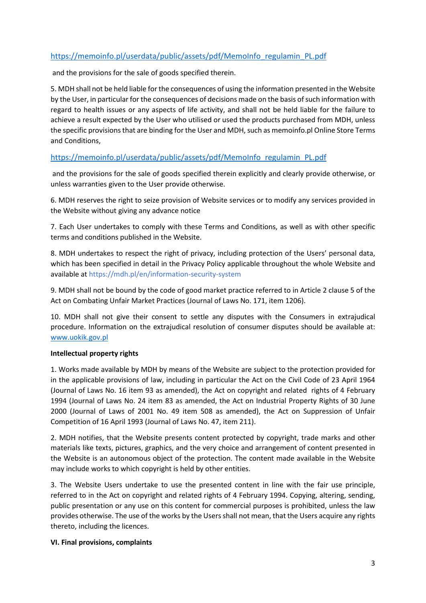# [https://memoinfo.pl/userdata/public/assets/pdf/MemoInfo\\_regulamin\\_PL.pdf](https://memoinfo.pl/userdata/public/assets/pdf/MemoInfo_regulamin_PL.pdf)

and the provisions for the sale of goods specified therein.

5. MDH shall not be held liable for the consequences of using the information presented in the Website by the User, in particular for the consequences of decisions made on the basis of such information with regard to health issues or any aspects of life activity, and shall not be held liable for the failure to achieve a result expected by the User who utilised or used the products purchased from MDH, unless the specific provisions that are binding for the User and MDH, such as memoinfo.pl Online Store Terms and Conditions,

## https://memoinfo.pl/userdata[/public/assets/pdf/MemoInfo\\_regulamin\\_PL.pdf](https://memoinfo.pl/userdata/public/assets/pdf/MemoInfo_regulamin_PL.pdf)

and the provisions for the sale of goods specified therein explicitly and clearly provide otherwise, or unless warranties given to the User provide otherwise.

6. MDH reserves the right to seize provision of Website services or to modify any services provided in the Website without giving any advance notice

7. Each User undertakes to comply with these Terms and Conditions, as well as with other specific terms and conditions published in the Website.

8. MDH undertakes to respect the right of privacy, including protection of the Users' personal data, which has been specified in detail in the Privacy Policy applicable throughout the whole Website and available at https://mdh.pl/en/information-security-system

9. MDH shall not be bound by the code of good market practice referred to in Article 2 clause 5 of the Act on Combating Unfair Market Practices (Journal of Laws No. 171, item 1206).

10. MDH shall not give their consent to settle any disputes with the Consumers in extrajudical procedure. Information on the extrajudical resolution of consumer disputes should be available at: [www.uokik.gov.pl](http://www.uokik.gov.pl/)

### **Intellectual property rights**

1. Works made available by MDH by means of the Website are subject to the protection provided for in the applicable provisions of law, including in particular the Act on the Civil Code of 23 April 1964 (Journal of Laws No. 16 item 93 as amended), the Act on copyright and related rights of 4 February 1994 (Journal of Laws No. 24 item 83 as amended, the Act on Industrial Property Rights of 30 June 2000 (Journal of Laws of 2001 No. 49 item 508 as amended), the Act on Suppression of Unfair Competition of 16 April 1993 (Journal of Laws No. 47, item 211).

2. MDH notifies, that the Website presents content protected by copyright, trade marks and other materials like texts, pictures, graphics, and the very choice and arrangement of content presented in the Website is an autonomous object of the protection. The content made available in the Website may include works to which copyright is held by other entities.

3. The Website Users undertake to use the presented content in line with the fair use principle, referred to in the Act on copyright and related rights of 4 February 1994. Copying, altering, sending, public presentation or any use on this content for commercial purposes is prohibited, unless the law provides otherwise. The use of the works by the Users shall not mean, that the Users acquire any rights thereto, including the licences.

### **VI. Final provisions, complaints**